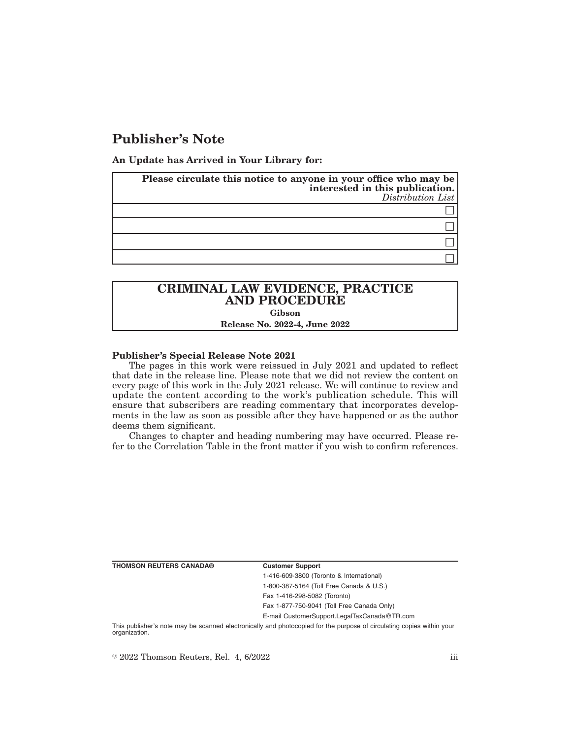# **Publisher's Note**

**An Update has Arrived in Your Library for:**

| Please circulate this notice to anyone in your office who may be<br>interested in this publication.<br>Distribution List |
|--------------------------------------------------------------------------------------------------------------------------|
|                                                                                                                          |
|                                                                                                                          |
|                                                                                                                          |
|                                                                                                                          |

## **CRIMINAL LAW EVIDENCE, PRACTICE AND PROCEDURE Gibson**

**Release No. 2022-4, June 2022**

### **Publisher's Special Release Note 2021**

The pages in this work were reissued in July 2021 and updated to reflect that date in the release line. Please note that we did not review the content on every page of this work in the July 2021 release. We will continue to review and update the content according to the work's publication schedule. This will ensure that subscribers are reading commentary that incorporates developments in the law as soon as possible after they have happened or as the author deems them significant.

Changes to chapter and heading numbering may have occurred. Please refer to the Correlation Table in the front matter if you wish to confirm references.

**THOMSON REUTERS CANADA® Customer Support**

1-416-609-3800 (Toronto & International) 1-800-387-5164 (Toll Free Canada & U.S.) Fax 1-416-298-5082 (Toronto)

Fax 1-877-750-9041 (Toll Free Canada Only)

E-mail CustomerSupport.LegalTaxCanada@TR.com

This publisher's note may be scanned electronically and photocopied for the purpose of circulating copies within your organization.

 $\degree$  2022 Thomson Reuters, Rel. 4, 6/2022 iii